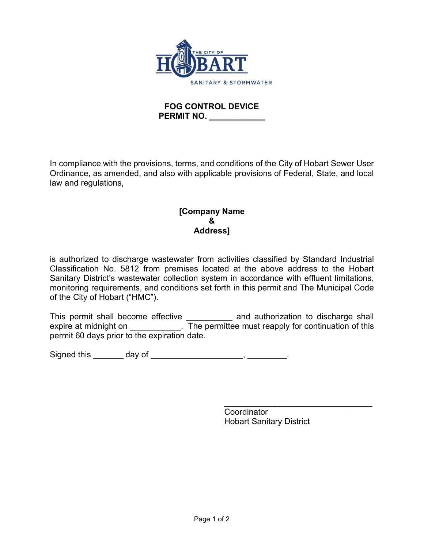

## **FOG CONTROL DEVICE PERMIT NO.**

In compliance with the provisions, terms, and conditions of the City of Hobart Sewer User Ordinance, as amended, and also with applicable provisions of Federal, State, and local law and regulations,

## **[Company Name & Address]**

is authorized to discharge wastewater from activities classified by Standard Industrial Classification No. 5812 from premises located at the above address to the Hobart Sanitary District's wastewater collection system in accordance with effluent limitations, monitoring requirements, and conditions set forth in this permit and The Municipal Code of the City of Hobart ("HMC").

This permit shall become effective **Example 20** and authorization to discharge shall expire at midnight on  $\overline{ }$ . The permittee must reapply for continuation of this permit 60 days prior to the expiration date.

Signed this \_\_\_\_\_\_ day of \_\_\_\_\_\_\_\_\_\_\_\_\_\_\_\_\_\_\_\_, \_\_\_\_\_\_

\_\_\_\_\_\_\_\_\_\_\_\_\_\_\_\_\_\_\_\_\_\_\_\_\_\_\_\_\_\_\_\_ **Coordinator** Hobart Sanitary District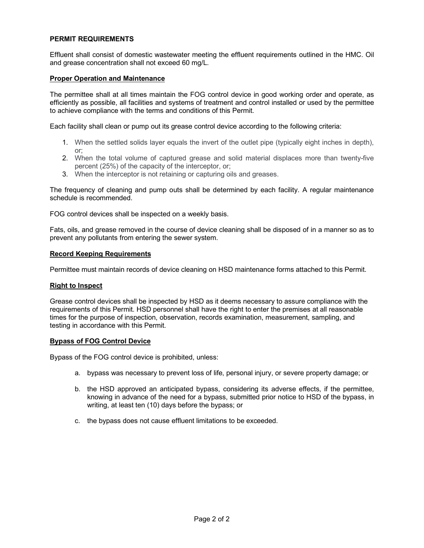### **PERMIT REQUIREMENTS**

Effluent shall consist of domestic wastewater meeting the effluent requirements outlined in the HMC. Oil and grease concentration shall not exceed 60 mg/L.

#### **Proper Operation and Maintenance**

The permittee shall at all times maintain the FOG control device in good working order and operate, as efficiently as possible, all facilities and systems of treatment and control installed or used by the permittee to achieve compliance with the terms and conditions of this Permit.

Each facility shall clean or pump out its grease control device according to the following criteria:

- 1. When the settled solids layer equals the invert of the outlet pipe (typically eight inches in depth), or;
- 2. When the total volume of captured grease and solid material displaces more than twenty-five percent (25%) of the capacity of the interceptor, or;
- 3. When the interceptor is not retaining or capturing oils and greases.

The frequency of cleaning and pump outs shall be determined by each facility. A regular maintenance schedule is recommended.

FOG control devices shall be inspected on a weekly basis.

Fats, oils, and grease removed in the course of device cleaning shall be disposed of in a manner so as to prevent any pollutants from entering the sewer system.

#### **Record Keeping Requirements**

Permittee must maintain records of device cleaning on HSD maintenance forms attached to this Permit.

#### **Right to Inspect**

Grease control devices shall be inspected by HSD as it deems necessary to assure compliance with the requirements of this Permit. HSD personnel shall have the right to enter the premises at all reasonable times for the purpose of inspection, observation, records examination, measurement, sampling, and testing in accordance with this Permit.

#### **Bypass of FOG Control Device**

Bypass of the FOG control device is prohibited, unless:

- a. bypass was necessary to prevent loss of life, personal injury, or severe property damage; or
- b. the HSD approved an anticipated bypass, considering its adverse effects, if the permittee, knowing in advance of the need for a bypass, submitted prior notice to HSD of the bypass, in writing, at least ten (10) days before the bypass; or
- c. the bypass does not cause effluent limitations to be exceeded.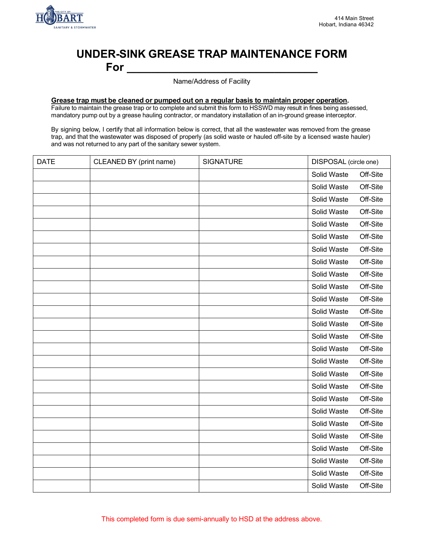

# **UNDER-SINK GREASE TRAP MAINTENANCE FORM For \_\_\_\_\_\_\_\_\_\_\_\_\_\_\_\_\_\_\_\_\_\_\_\_\_\_\_\_\_\_\_**

Name/Address of Facility

### **Grease trap must be cleaned or pumped out on a regular basis to maintain proper operation.**

Failure to maintain the grease trap or to complete and submit this form to HSSWD may result in fines being assessed, mandatory pump out by a grease hauling contractor, or mandatory installation of an in-ground grease interceptor.

By signing below, I certify that all information below is correct, that all the wastewater was removed from the grease trap, and that the wastewater was disposed of properly (as solid waste or hauled off-site by a licensed waste hauler) and was not returned to any part of the sanitary sewer system.

| <b>DATE</b> | CLEANED BY (print name) | <b>SIGNATURE</b> | DISPOSAL (circle one) |          |
|-------------|-------------------------|------------------|-----------------------|----------|
|             |                         |                  | Solid Waste           | Off-Site |
|             |                         |                  | Solid Waste           | Off-Site |
|             |                         |                  | Solid Waste           | Off-Site |
|             |                         |                  | Solid Waste           | Off-Site |
|             |                         |                  | Solid Waste           | Off-Site |
|             |                         |                  | Solid Waste           | Off-Site |
|             |                         |                  | Solid Waste           | Off-Site |
|             |                         |                  | Solid Waste           | Off-Site |
|             |                         |                  | Solid Waste           | Off-Site |
|             |                         |                  | Solid Waste           | Off-Site |
|             |                         |                  | Solid Waste           | Off-Site |
|             |                         |                  | Solid Waste           | Off-Site |
|             |                         |                  | Solid Waste           | Off-Site |
|             |                         |                  | Solid Waste           | Off-Site |
|             |                         |                  | Solid Waste           | Off-Site |
|             |                         |                  | Solid Waste           | Off-Site |
|             |                         |                  | Solid Waste           | Off-Site |
|             |                         |                  | Solid Waste           | Off-Site |
|             |                         |                  | Solid Waste           | Off-Site |
|             |                         |                  | Solid Waste           | Off-Site |
|             |                         |                  | Solid Waste           | Off-Site |
|             |                         |                  | Solid Waste           | Off-Site |
|             |                         |                  | Solid Waste           | Off-Site |
|             |                         |                  | Solid Waste           | Off-Site |
|             |                         |                  | Solid Waste           | Off-Site |
|             |                         |                  | Solid Waste           | Off-Site |